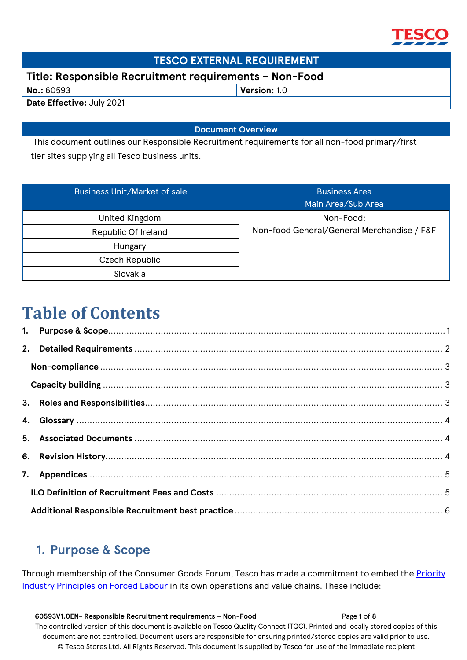

### **TESCO EXTERNAL REQUIREMENT**

### **Title: Responsible Recruitment requirements – Non-Food**

**No.:** 60593 **Version:** 1.0

**Date Effective:** July 2021

#### **Document Overview**

This document outlines our Responsible Recruitment requirements for all non-food primary/first tier sites supplying all Tesco business units.

| <b>Business Unit/Market of sale</b> | <b>Business Area</b><br>Main Area/Sub Area |  |  |
|-------------------------------------|--------------------------------------------|--|--|
| United Kingdom                      | Non-Food:                                  |  |  |
| Republic Of Ireland                 | Non-food General/General Merchandise / F&F |  |  |
| Hungary                             |                                            |  |  |
| Czech Republic                      |                                            |  |  |
| Slovakia                            |                                            |  |  |

# **Table of Contents**

# <span id="page-0-0"></span>**1. Purpose & Scope**

Through membership of the Consumer Goods Forum, Tesco has made a commitment to embed the [Priority](https://www.theconsumergoodsforum.com/initiatives/social-sustainability/key-projects/priority-industry-principles/)  [Industry Principles on Forced Labour](https://www.theconsumergoodsforum.com/initiatives/social-sustainability/key-projects/priority-industry-principles/) in its own operations and value chains. These include:

 **60593V1.0EN- Responsible Recruitment requirements – Non-Food** Page **1** of **8** The controlled version of this document is available on Tesco Quality Connect (TQC). Printed and locally stored copies of this document are not controlled. Document users are responsible for ensuring printed/stored copies are valid prior to use. © Tesco Stores Ltd. All Rights Reserved. This document is supplied by Tesco for use of the immediate recipient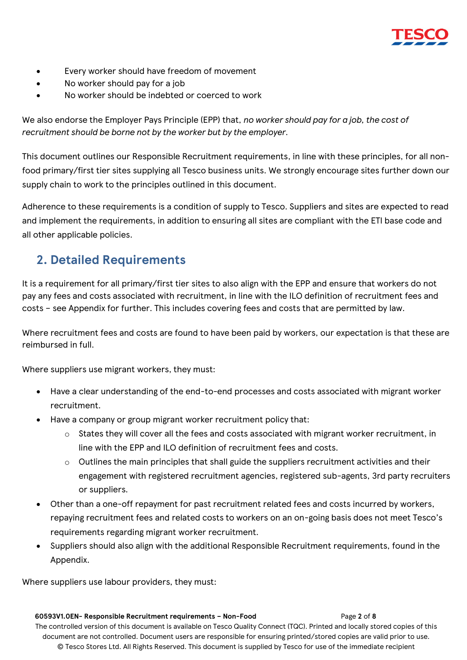

- Every worker should have freedom of movement
- No worker should pay for a job
- No worker should be indebted or coerced to work

We also endorse the Employer Pays Principle (EPP) that, *no worker should pay for a job, the cost of recruitment should be borne not by the worker but by the employer.* 

This document outlines our Responsible Recruitment requirements, in line with these principles, for all nonfood primary/first tier sites supplying all Tesco business units. We strongly encourage sites further down our supply chain to work to the principles outlined in this document.

Adherence to these requirements is a condition of supply to Tesco. Suppliers and sites are expected to read and implement the requirements, in addition to ensuring all sites are compliant with the ETI base code and all other applicable policies.

### <span id="page-1-0"></span>**2. Detailed Requirements**

It is a requirement for all primary/first tier sites to also align with the EPP and ensure that workers do not pay any fees and costs associated with recruitment, in line with the ILO definition of recruitment fees and costs – see Appendix for further. This includes covering fees and costs that are permitted by law.

Where recruitment fees and costs are found to have been paid by workers, our expectation is that these are reimbursed in full.

Where suppliers use migrant workers, they must:

- Have a clear understanding of the end-to-end processes and costs associated with migrant worker recruitment.
- Have a company or group migrant worker recruitment policy that:
	- $\circ$  States they will cover all the fees and costs associated with migrant worker recruitment, in line with the EPP and ILO definition of recruitment fees and costs.
	- $\circ$  Outlines the main principles that shall guide the suppliers recruitment activities and their engagement with registered recruitment agencies, registered sub-agents, 3rd party recruiters or suppliers.
- Other than a one-off repayment for past recruitment related fees and costs incurred by workers, repaying recruitment fees and related costs to workers on an on-going basis does not meet Tesco's requirements regarding migrant worker recruitment.
- Suppliers should also align with the additional Responsible Recruitment requirements, found in the Appendix.

Where suppliers use labour providers, they must: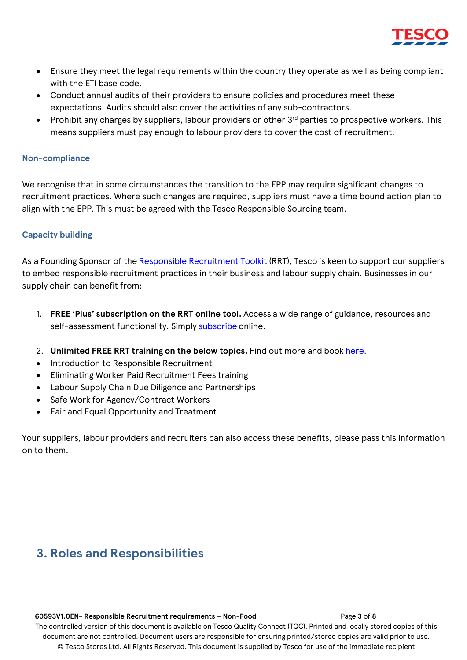

- Ensure they meet the legal requirements within the country they operate as well as being compliant with the ETI base code.
- Conduct annual audits of their providers to ensure policies and procedures meet these expectations. Audits should also cover the activities of any sub-contractors.
- Prohibit any charges by suppliers, labour providers or other  $3<sup>rd</sup>$  parties to prospective workers. This means suppliers must pay enough to labour providers to cover the cost of recruitment.

#### <span id="page-2-0"></span>**Non-compliance**

We recognise that in some circumstances the transition to the EPP may require significant changes to recruitment practices. Where such changes are required, suppliers must have a time bound action plan to align with the EPP. This must be agreed with the Tesco Responsible Sourcing team.

#### <span id="page-2-1"></span>**Capacity building**

As a Founding Sponsor of the [Responsible Recruitment Toolkit](https://urldefense.com/v3/__https:/responsiblerecruitmenttoolkit.org/__;!!JUyETn1neQ!tMNWT5PRlL2PCf5JQssn47lGOR7Kv0_JVgEHlFDE0B_7bIy6fFCAkkxi6ul2QO5R$) (RRT), Tesco is keen to support our suppliers to embed responsible recruitment practices in their business and labour supply chain. Businesses in our supply chain can benefit from:

- 1. **FREE 'Plus' subscription on the RRT online tool.** Access a wide range of guidance, resources and self-assessment functionality. Simply [subscribe](https://urldefense.com/v3/__https:/responsiblerecruitmenttoolkit.org/membership-account/membership-checkout/?level=7__;!!JUyETn1neQ!uDcPVFDA59FuOt1YaofPmf9ZGwYfME-0KLy2klGEI4egzgGO6nTQ5NbJxUeKkz45$) [o](https://urldefense.com/v3/__https:/responsiblerecruitmenttoolkit.org/membership-account/membership-checkout/?level=7__;!!JUyETn1neQ!uDcPVFDA59FuOt1YaofPmf9ZGwYfME-0KLy2klGEI4egzgGO6nTQ5NbJxUeKkz45$)nline.
- 2. **Unlimited FREE RRT training on the below topics.** Find out more and book [here.](https://urldefense.com/v3/__https:/responsiblerecruitmenttoolkit.org/workshops/__;!!JUyETn1neQ!uDcPVFDA59FuOt1YaofPmf9ZGwYfME-0KLy2klGEI4egzgGO6nTQ5NbJxW4sSvQ_$)
- Introduction to Responsible Recruitment
- Eliminating Worker Paid Recruitment Fees training
- Labour Supply Chain Due Diligence and Partnerships
- Safe Work for Agency/Contract Workers
- Fair and Equal Opportunity and Treatment

Your suppliers, labour providers and recruiters can also access these benefits, please pass this information on to them.

### <span id="page-2-2"></span>**3. Roles and Responsibilities**

#### **60593V1.0EN- Responsible Recruitment requirements – Non-Food** Page **3** of **8**

The controlled version of this document is available on Tesco Quality Connect (TQC). Printed and locally stored copies of this document are not controlled. Document users are responsible for ensuring printed/stored copies are valid prior to use. © Tesco Stores Ltd. All Rights Reserved. This document is supplied by Tesco for use of the immediate recipient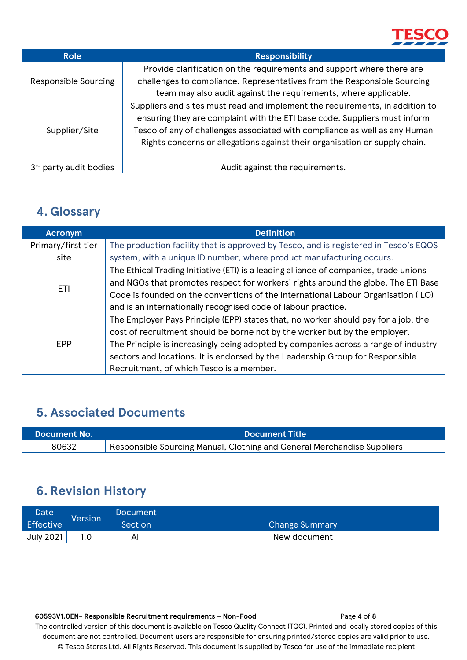

| <b>Role</b>                        | <b>Responsibility</b>                                                                                                                                                                                                                                                                                                 |  |  |  |
|------------------------------------|-----------------------------------------------------------------------------------------------------------------------------------------------------------------------------------------------------------------------------------------------------------------------------------------------------------------------|--|--|--|
|                                    | Provide clarification on the requirements and support where there are                                                                                                                                                                                                                                                 |  |  |  |
| Responsible Sourcing               | challenges to compliance. Representatives from the Responsible Sourcing                                                                                                                                                                                                                                               |  |  |  |
|                                    | team may also audit against the requirements, where applicable.                                                                                                                                                                                                                                                       |  |  |  |
| Supplier/Site                      | Suppliers and sites must read and implement the requirements, in addition to<br>ensuring they are complaint with the ETI base code. Suppliers must inform<br>Tesco of any of challenges associated with compliance as well as any Human<br>Rights concerns or allegations against their organisation or supply chain. |  |  |  |
| 3 <sup>rd</sup> party audit bodies | Audit against the requirements.                                                                                                                                                                                                                                                                                       |  |  |  |

### <span id="page-3-0"></span>**4. Glossary**

| <b>Acronym</b>                                                               | <b>Definition</b>                                                                     |  |  |  |
|------------------------------------------------------------------------------|---------------------------------------------------------------------------------------|--|--|--|
| Primary/first tier                                                           | The production facility that is approved by Tesco, and is registered in Tesco's EQOS  |  |  |  |
| system, with a unique ID number, where product manufacturing occurs.<br>site |                                                                                       |  |  |  |
|                                                                              | The Ethical Trading Initiative (ETI) is a leading alliance of companies, trade unions |  |  |  |
| ETI                                                                          | and NGOs that promotes respect for workers' rights around the globe. The ETI Base     |  |  |  |
|                                                                              | Code is founded on the conventions of the International Labour Organisation (ILO)     |  |  |  |
|                                                                              | and is an internationally recognised code of labour practice.                         |  |  |  |
|                                                                              | The Employer Pays Principle (EPP) states that, no worker should pay for a job, the    |  |  |  |
|                                                                              | cost of recruitment should be borne not by the worker but by the employer.            |  |  |  |
| <b>EPP</b>                                                                   | The Principle is increasingly being adopted by companies across a range of industry   |  |  |  |
|                                                                              | sectors and locations. It is endorsed by the Leadership Group for Responsible         |  |  |  |
|                                                                              | Recruitment, of which Tesco is a member.                                              |  |  |  |

## <span id="page-3-1"></span>**5. Associated Documents**

| Nocument No. | <b>Document Title</b>                                                   |  |  |  |
|--------------|-------------------------------------------------------------------------|--|--|--|
| 80632        | Responsible Sourcing Manual, Clothing and General Merchandise Suppliers |  |  |  |

# <span id="page-3-2"></span>**6. Revision History**

| Date             | Version <sup>'</sup> | Document |                       |
|------------------|----------------------|----------|-----------------------|
| Effective        |                      | Section' | <b>Change Summary</b> |
| <b>July 2021</b> |                      | Alı      | New document          |

 **60593V1.0EN- Responsible Recruitment requirements – Non-Food** Page **4** of **8** The controlled version of this document is available on Tesco Quality Connect (TQC). Printed and locally stored copies of this document are not controlled. Document users are responsible for ensuring printed/stored copies are valid prior to use. © Tesco Stores Ltd. All Rights Reserved. This document is supplied by Tesco for use of the immediate recipient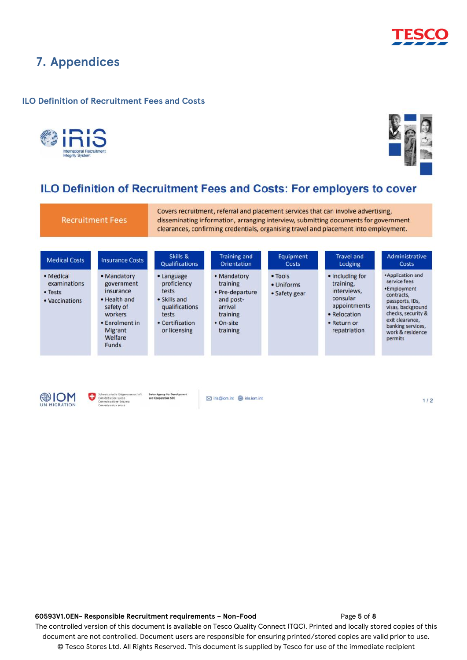

### <span id="page-4-0"></span>**7. Appendices**

#### <span id="page-4-1"></span>**ILO Definition of Recruitment Fees and Costs**





### ILO Definition of Recruitment Fees and Costs: For employers to cover

**Recruitment Fees** 

Covers recruitment, referral and placement services that can involve advertising, disseminating information, arranging interview, submitting documents for government clearances, confirming credentials, organising travel and placement into employment.

| <b>Medical Costs</b>                                   | <b>Insurance Costs</b>                                                                                                                        | Skills &<br><b>Qualifications</b>                                                                                | <b>Training and</b><br>Orientation                                                                      | Equipment<br><b>Costs</b>              | <b>Travel and</b><br>Lodging                                                                                           | Administrative<br>Costs                                                                                                                                                                             |
|--------------------------------------------------------|-----------------------------------------------------------------------------------------------------------------------------------------------|------------------------------------------------------------------------------------------------------------------|---------------------------------------------------------------------------------------------------------|----------------------------------------|------------------------------------------------------------------------------------------------------------------------|-----------------------------------------------------------------------------------------------------------------------------------------------------------------------------------------------------|
| • Medical<br>examinations<br>• Tests<br>• Vaccinations | • Mandatory<br>government<br>insurance<br>• Health and<br>safety of<br>workers<br>• Enrolment in<br><b>Migrant</b><br>Welfare<br><b>Funds</b> | • Language<br>proficiency<br>tests<br>• Skills and<br>qualifications<br>tests<br>• Certification<br>or licensing | • Mandatory<br>training<br>• Pre-departure<br>and post-<br>arrival<br>training<br>• On-site<br>training | • Tools<br>• Uniforms<br>• Safety gear | • Including for<br>training,<br>interviews.<br>consular<br>appointments<br>• Relocation<br>• Return or<br>repatriation | • Application and<br>service fees<br>•Employment<br>contracts,<br>passports, IDs,<br>visas, background<br>checks, security &<br>exit clearance.<br>banking services,<br>work & residence<br>permits |
|                                                        |                                                                                                                                               |                                                                                                                  |                                                                                                         |                                        |                                                                                                                        |                                                                                                                                                                                                     |



 $1/2$ 

#### **60593V1.0EN- Responsible Recruitment requirements – Non-Food** Page **5** of **8** The controlled version of this document is available on Tesco Quality Connect (TQC). Printed and locally stored copies of this document are not controlled. Document users are responsible for ensuring printed/stored copies are valid prior to use. © Tesco Stores Ltd. All Rights Reserved. This document is supplied by Tesco for use of the immediate recipient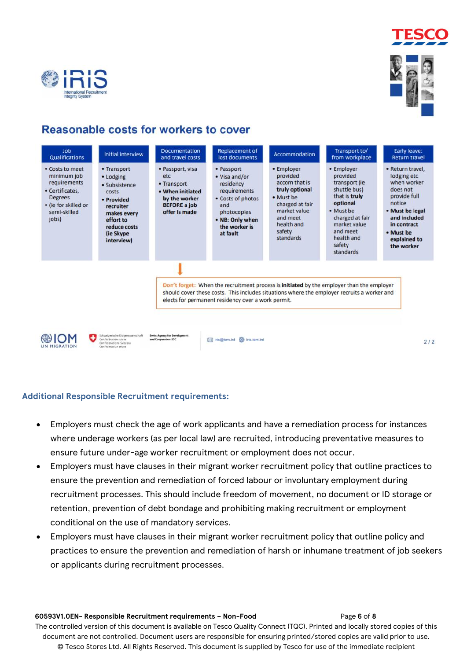



### Reasonable costs for workers to cover



### <span id="page-5-0"></span>**Additional Responsible Recruitment requirements:**

- Employers must check the age of work applicants and have a remediation process for instances where underage workers (as per local law) are recruited, introducing preventative measures to ensure future under-age worker recruitment or employment does not occur.
- Employers must have clauses in their migrant worker recruitment policy that outline practices to ensure the prevention and remediation of forced labour or involuntary employment during recruitment processes. This should include freedom of movement, no document or ID storage or retention, prevention of debt bondage and prohibiting making recruitment or employment conditional on the use of mandatory services.
- Employers must have clauses in their migrant worker recruitment policy that outline policy and practices to ensure the prevention and remediation of harsh or inhumane treatment of job seekers or applicants during recruitment processes.

#### **60593V1.0EN- Responsible Recruitment requirements – Non-Food** Page **6** of **8** The controlled version of this document is available on Tesco Quality Connect (TQC). Printed and locally stored copies of this document are not controlled. Document users are responsible for ensuring printed/stored copies are valid prior to use. © Tesco Stores Ltd. All Rights Reserved. This document is supplied by Tesco for use of the immediate recipient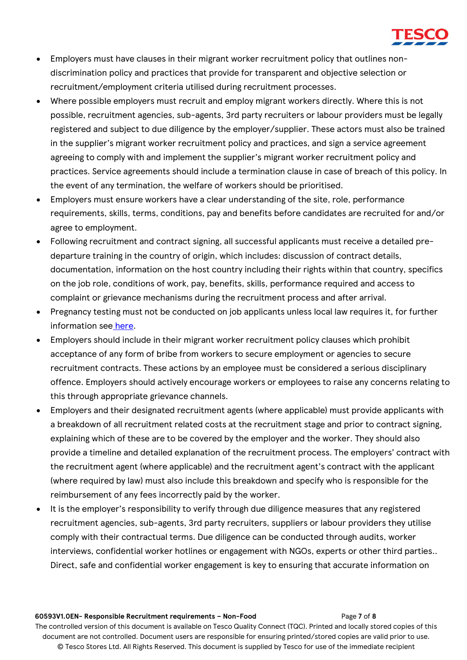

- Employers must have clauses in their migrant worker recruitment policy that outlines nondiscrimination policy and practices that provide for transparent and objective selection or recruitment/employment criteria utilised during recruitment processes.
- Where possible employers must recruit and employ migrant workers directly. Where this is not possible, recruitment agencies, sub-agents, 3rd party recruiters or labour providers must be legally registered and subject to due diligence by the employer/supplier. These actors must also be trained in the supplier's migrant worker recruitment policy and practices, and sign a service agreement agreeing to comply with and implement the supplier's migrant worker recruitment policy and practices. Service agreements should include a termination clause in case of breach of this policy. In the event of any termination, the welfare of workers should be prioritised.
- Employers must ensure workers have a clear understanding of the site, role, performance requirements, skills, terms, conditions, pay and benefits before candidates are recruited for and/or agree to employment.
- Following recruitment and contract signing, all successful applicants must receive a detailed predeparture training in the country of origin, which includes: discussion of contract details, documentation, information on the host country including their rights within that country, specifics on the job role, conditions of work, pay, benefits, skills, performance required and access to complaint or grievance mechanisms during the recruitment process and after arrival.
- Pregnancy testing must not be conducted on job applicants unless local law requires it, for further information see [here.](https://www.fairlabor.org/sites/default/files/documents/reports/triple_discrimination_woman_pregnant_and_migrant_march_2018.pdf)
- Employers should include in their migrant worker recruitment policy clauses which prohibit acceptance of any form of bribe from workers to secure employment or agencies to secure recruitment contracts. These actions by an employee must be considered a serious disciplinary offence. Employers should actively encourage workers or employees to raise any concerns relating to this through appropriate grievance channels.
- Employers and their designated recruitment agents (where applicable) must provide applicants with a breakdown of all recruitment related costs at the recruitment stage and prior to contract signing, explaining which of these are to be covered by the employer and the worker. They should also provide a timeline and detailed explanation of the recruitment process. The employers' contract with the recruitment agent (where applicable) and the recruitment agent's contract with the applicant (where required by law) must also include this breakdown and specify who is responsible for the reimbursement of any fees incorrectly paid by the worker.
- It is the employer's responsibility to verify through due diligence measures that any registered recruitment agencies, sub-agents, 3rd party recruiters, suppliers or labour providers they utilise comply with their contractual terms. Due diligence can be conducted through audits, worker interviews, confidential worker hotlines or engagement with NGOs, experts or other third parties.. Direct, safe and confidential worker engagement is key to ensuring that accurate information on

#### **60593V1.0EN- Responsible Recruitment requirements – Non-Food** Page **7** of **8** The controlled version of this document is available on Tesco Quality Connect (TQC). Printed and locally stored copies of this document are not controlled. Document users are responsible for ensuring printed/stored copies are valid prior to use. © Tesco Stores Ltd. All Rights Reserved. This document is supplied by Tesco for use of the immediate recipient